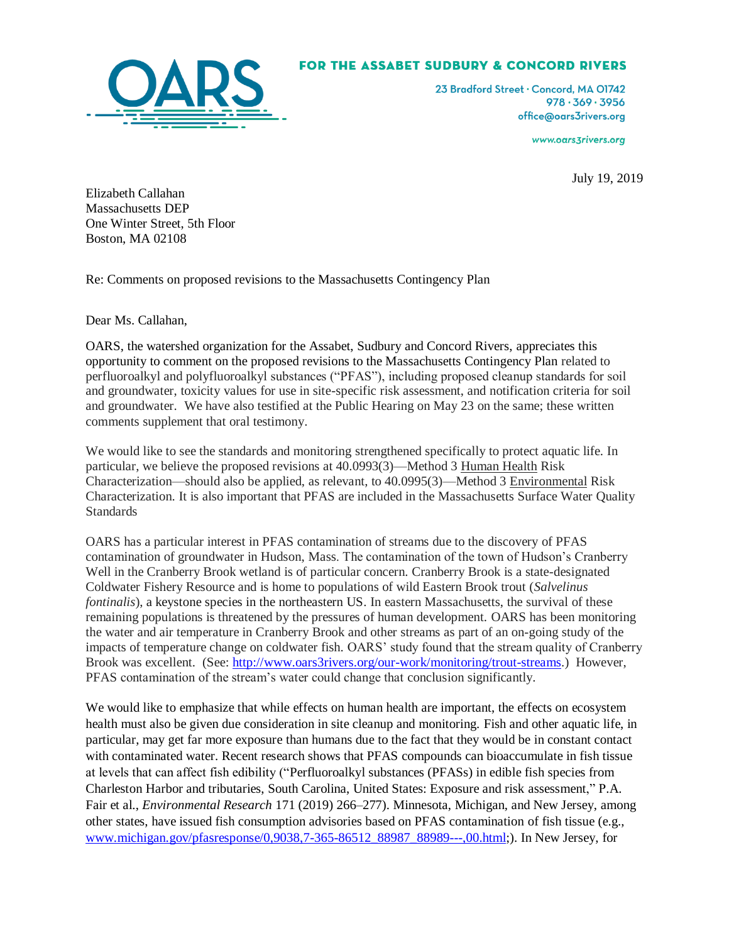## FOR THE ASSABET SUDBURY & CONCORD RIVERS



23 Bradford Street . Concord, MA 01742  $978.369.3956$ office@oars3rivers.org

www.oars3rivers.org

July 19, 2019

Elizabeth Callahan Massachusetts DEP One Winter Street, 5th Floor Boston, MA 02108

Re: Comments on proposed revisions to the Massachusetts Contingency Plan

Dear Ms. Callahan,

OARS, the watershed organization for the Assabet, Sudbury and Concord Rivers, appreciates this opportunity to comment on the proposed revisions to the Massachusetts Contingency Plan related to perfluoroalkyl and polyfluoroalkyl substances ("PFAS"), including proposed cleanup standards for soil and groundwater, toxicity values for use in site-specific risk assessment, and notification criteria for soil and groundwater. We have also testified at the Public Hearing on May 23 on the same; these written comments supplement that oral testimony.

We would like to see the standards and monitoring strengthened specifically to protect aquatic life. In particular, we believe the proposed revisions at 40.0993(3)—Method 3 Human Health Risk Characterization—should also be applied, as relevant, to 40.0995(3)—Method 3 Environmental Risk Characterization. It is also important that PFAS are included in the Massachusetts Surface Water Quality **Standards** 

OARS has a particular interest in PFAS contamination of streams due to the discovery of PFAS contamination of groundwater in Hudson, Mass. The contamination of the town of Hudson's Cranberry Well in the Cranberry Brook wetland is of particular concern. Cranberry Brook is a state-designated Coldwater Fishery Resource and is home to populations of wild Eastern Brook trout (*Salvelinus fontinalis*), a keystone species in the northeastern US. In eastern Massachusetts, the survival of these remaining populations is threatened by the pressures of human development. OARS has been monitoring the water and air temperature in Cranberry Brook and other streams as part of an on-going study of the impacts of temperature change on coldwater fish. OARS' study found that the stream quality of Cranberry Brook was excellent. (See: [http://www.oars3rivers.org/our-work/monitoring/trout-streams.](http://www.oars3rivers.org/our-work/monitoring/trout-streams)) However, PFAS contamination of the stream's water could change that conclusion significantly.

We would like to emphasize that while effects on human health are important, the effects on ecosystem health must also be given due consideration in site cleanup and monitoring. Fish and other aquatic life, in particular, may get far more exposure than humans due to the fact that they would be in constant contact with contaminated water. Recent research shows that PFAS compounds can bioaccumulate in fish tissue at levels that can affect fish edibility ("Perfluoroalkyl substances (PFASs) in edible fish species from Charleston Harbor and tributaries, South Carolina, United States: Exposure and risk assessment," P.A. Fair et al., *Environmental Research* 171 (2019) 266–277). Minnesota, Michigan, and New Jersey, among other states, have issued fish consumption advisories based on PFAS contamination of fish tissue (e.g., [www.michigan.gov/pfasresponse/0,9038,7-365-86512\\_88987\\_88989---,00.html;](http://www.michigan.gov/pfasresponse/0,9038,7-365-86512_88987_88989---,00.html)). In New Jersey, for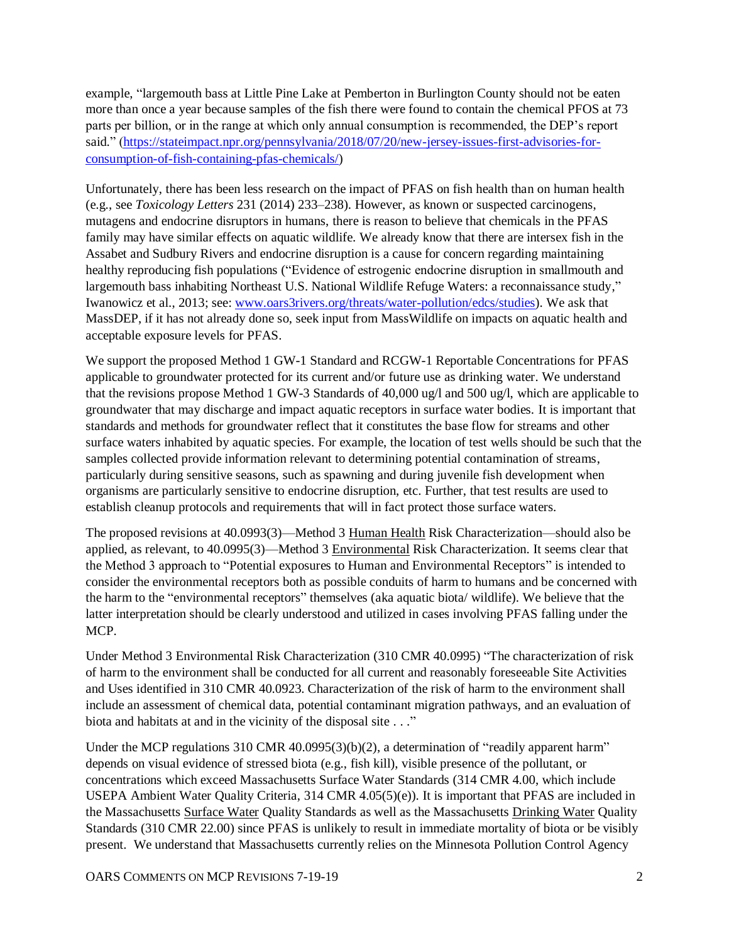example, "largemouth bass at Little Pine Lake at Pemberton in Burlington County should not be eaten more than once a year because samples of the fish there were found to contain the chemical PFOS at 73 parts per billion, or in the range at which only annual consumption is recommended, the DEP's report said." [\(https://stateimpact.npr.org/pennsylvania/2018/07/20/new-jersey-issues-first-advisories-for](https://stateimpact.npr.org/pennsylvania/2018/07/20/new-jersey-issues-first-advisories-for-consumption-of-fish-containing-pfas-chemicals/)[consumption-of-fish-containing-pfas-chemicals/\)](https://stateimpact.npr.org/pennsylvania/2018/07/20/new-jersey-issues-first-advisories-for-consumption-of-fish-containing-pfas-chemicals/)

Unfortunately, there has been less research on the impact of PFAS on fish health than on human health (e.g., see *Toxicology Letters* 231 (2014) 233–238). However, as known or suspected carcinogens, mutagens and endocrine disruptors in humans, there is reason to believe that chemicals in the PFAS family may have similar effects on aquatic wildlife. We already know that there are intersex fish in the Assabet and Sudbury Rivers and endocrine disruption is a cause for concern regarding maintaining healthy reproducing fish populations ("Evidence of estrogenic endocrine disruption in smallmouth and largemouth bass inhabiting Northeast U.S. National Wildlife Refuge Waters: a reconnaissance study," Iwanowicz et al., 2013; see: [www.oars3rivers.org/threats/water-pollution/edcs/studies\)](http://www.oars3rivers.org/threats/water-pollution/edcs/studies). We ask that MassDEP, if it has not already done so, seek input from MassWildlife on impacts on aquatic health and acceptable exposure levels for PFAS.

We support the proposed Method 1 GW-1 Standard and RCGW-1 Reportable Concentrations for PFAS applicable to groundwater protected for its current and/or future use as drinking water. We understand that the revisions propose Method 1 GW-3 Standards of 40,000 ug/l and 500 ug/l, which are applicable to groundwater that may discharge and impact aquatic receptors in surface water bodies. It is important that standards and methods for groundwater reflect that it constitutes the base flow for streams and other surface waters inhabited by aquatic species. For example, the location of test wells should be such that the samples collected provide information relevant to determining potential contamination of streams, particularly during sensitive seasons, such as spawning and during juvenile fish development when organisms are particularly sensitive to endocrine disruption, etc. Further, that test results are used to establish cleanup protocols and requirements that will in fact protect those surface waters.

The proposed revisions at 40.0993(3)—Method 3 Human Health Risk Characterization—should also be applied, as relevant, to 40.0995(3)—Method 3 Environmental Risk Characterization. It seems clear that the Method 3 approach to "Potential exposures to Human and Environmental Receptors" is intended to consider the environmental receptors both as possible conduits of harm to humans and be concerned with the harm to the "environmental receptors" themselves (aka aquatic biota/ wildlife). We believe that the latter interpretation should be clearly understood and utilized in cases involving PFAS falling under the MCP.

Under Method 3 Environmental Risk Characterization (310 CMR 40.0995) "The characterization of risk of harm to the environment shall be conducted for all current and reasonably foreseeable Site Activities and Uses identified in 310 CMR 40.0923. Characterization of the risk of harm to the environment shall include an assessment of chemical data, potential contaminant migration pathways, and an evaluation of biota and habitats at and in the vicinity of the disposal site . . ."

Under the MCP regulations 310 CMR 40.0995(3)(b)(2), a determination of "readily apparent harm" depends on visual evidence of stressed biota (e.g., fish kill), visible presence of the pollutant, or concentrations which exceed Massachusetts Surface Water Standards (314 CMR 4.00, which include USEPA Ambient Water Quality Criteria, 314 CMR 4.05(5)(e)). It is important that PFAS are included in the Massachusetts Surface Water Quality Standards as well as the Massachusetts Drinking Water Quality Standards (310 CMR 22.00) since PFAS is unlikely to result in immediate mortality of biota or be visibly present. We understand that Massachusetts currently relies on the Minnesota Pollution Control Agency